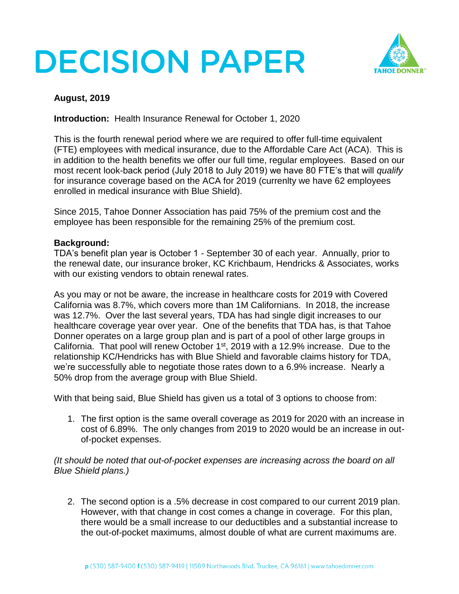# **DECISION PAPER**



### **August, 2019**

**Introduction:** Health Insurance Renewal for October 1, 2020

This is the fourth renewal period where we are required to offer full-time equivalent (FTE) employees with medical insurance, due to the Affordable Care Act (ACA). This is in addition to the health benefits we offer our full time, regular employees. Based on our most recent look-back period (July 2018 to July 2019) we have 80 FTE's that will *qualify* for insurance coverage based on the ACA for 2019 (currenlty we have 62 employees enrolled in medical insurance with Blue Shield).

Since 2015, Tahoe Donner Association has paid 75% of the premium cost and the employee has been responsible for the remaining 25% of the premium cost.

### **Background:**

TDA's benefit plan year is October 1 - September 30 of each year. Annually, prior to the renewal date, our insurance broker, KC Krichbaum, Hendricks & Associates, works with our existing vendors to obtain renewal rates.

As you may or not be aware, the increase in healthcare costs for 2019 with Covered California was 8.7%, which covers more than 1M Californians. In 2018, the increase was 12.7%. Over the last several years, TDA has had single digit increases to our healthcare coverage year over year. One of the benefits that TDA has, is that Tahoe Donner operates on a large group plan and is part of a pool of other large groups in California. That pool will renew October  $1<sup>st</sup>$ , 2019 with a 12.9% increase. Due to the relationship KC/Hendricks has with Blue Shield and favorable claims history for TDA, we're successfully able to negotiate those rates down to a 6.9% increase. Nearly a 50% drop from the average group with Blue Shield.

With that being said, Blue Shield has given us a total of 3 options to choose from:

1. The first option is the same overall coverage as 2019 for 2020 with an increase in cost of 6.89%. The only changes from 2019 to 2020 would be an increase in outof-pocket expenses.

*(It should be noted that out-of-pocket expenses are increasing across the board on all Blue Shield plans.)* 

2. The second option is a .5% decrease in cost compared to our current 2019 plan. However, with that change in cost comes a change in coverage. For this plan, there would be a small increase to our deductibles and a substantial increase to the out-of-pocket maximums, almost double of what are current maximums are.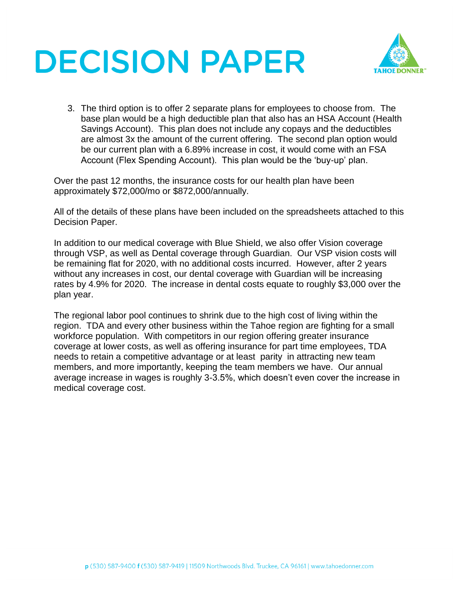# **DECISION PAPER**



3. The third option is to offer 2 separate plans for employees to choose from. The base plan would be a high deductible plan that also has an HSA Account (Health Savings Account). This plan does not include any copays and the deductibles are almost 3x the amount of the current offering. The second plan option would be our current plan with a 6.89% increase in cost, it would come with an FSA Account (Flex Spending Account). This plan would be the 'buy-up' plan.

Over the past 12 months, the insurance costs for our health plan have been approximately \$72,000/mo or \$872,000/annually.

All of the details of these plans have been included on the spreadsheets attached to this Decision Paper.

In addition to our medical coverage with Blue Shield, we also offer Vision coverage through VSP, as well as Dental coverage through Guardian. Our VSP vision costs will be remaining flat for 2020, with no additional costs incurred. However, after 2 years without any increases in cost, our dental coverage with Guardian will be increasing rates by 4.9% for 2020. The increase in dental costs equate to roughly \$3,000 over the plan year.

The regional labor pool continues to shrink due to the high cost of living within the region. TDA and every other business within the Tahoe region are fighting for a small workforce population. With competitors in our region offering greater insurance coverage at lower costs, as well as offering insurance for part time employees, TDA needs to retain a competitive advantage or at least parity in attracting new team members, and more importantly, keeping the team members we have. Our annual average increase in wages is roughly 3-3.5%, which doesn't even cover the increase in medical coverage cost.